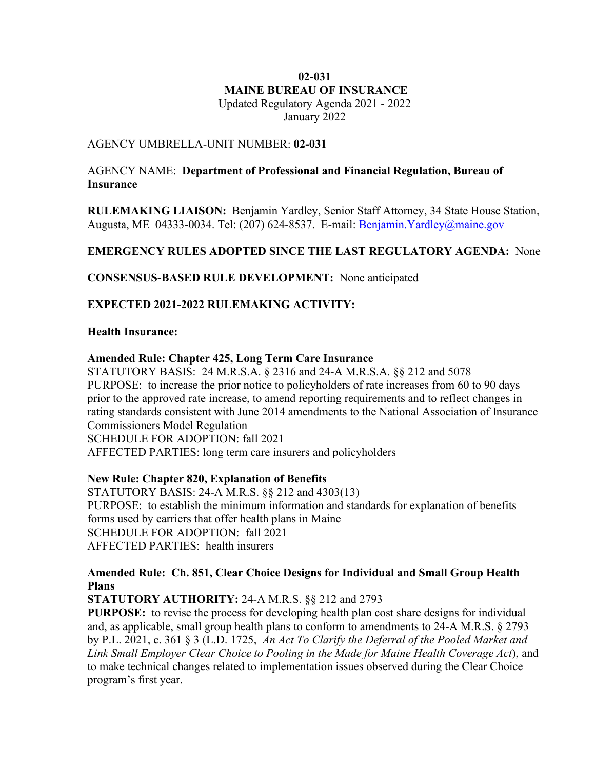### **MAINE BUREAU OF INSURANCE**  Updated Regulatory Agenda 2021 - 2022 **02-031**

January 2022

### AGENCY UMBRELLA-UNIT NUMBER: **02-031**

#### AGENCY NAME: **Department of Professional and Financial Regulation, Bureau of Insurance**

 **RULEMAKING LIAISON:** Benjamin Yardley, Senior Staff Attorney, 34 State House Station, Augusta, ME 04333-0034. Tel: (207) 624-8537. E-mail: **Benjamin. Yardley@maine.gov** 

## **EMERGENCY RULES ADOPTED SINCE THE LAST REGULATORY AGENDA:** None

 **CONSENSUS-BASED RULE DEVELOPMENT:** None anticipated

 **EXPECTED 2021-2022 RULEMAKING ACTIVITY:** 

### **Health Insurance:**

#### **Amended Rule: Chapter 425, Long Term Care Insurance**

 STATUTORY BASIS: 24 M.R.S.A. § 2316 and 24-A M.R.S.A. §§ 212 and 5078 PURPOSE: to increase the prior notice to policyholders of rate increases from 60 to 90 days prior to the approved rate increase, to amend reporting requirements and to reflect changes in rating standards consistent with June 2014 amendments to the National Association of Insurance Commissioners Model Regulation

SCHEDULE FOR ADOPTION: fall 2021

AFFECTED PARTIES: long term care insurers and policyholders

#### **New Rule: Chapter 820, Explanation of Benefits**

 STATUTORY BASIS: 24-A M.R.S. §§ 212 and 4303(13) PURPOSE: to establish the minimum information and standards for explanation of benefits forms used by carriers that offer health plans in Maine SCHEDULE FOR ADOPTION: fall 2021 AFFECTED PARTIES: health insurers

### **Amended Rule: Ch. 851, Clear Choice Designs for Individual and Small Group Health Plans**

# **STATUTORY AUTHORITY:** 24-A M.R.S. §§ 212 and 2793

 **PURPOSE:** to revise the process for developing health plan cost share designs for individual and, as applicable, small group health plans to conform to amendments to 24-A M.R.S. § 2793 by P.L. 2021, c. 361 § 3 (L.D. 1725, *An Act To Clarify the Deferral of the Pooled Market and Link Small Employer Clear Choice to Pooling in the Made for Maine Health Coverage Act*), and to make technical changes related to implementation issues observed during the Clear Choice program's first year.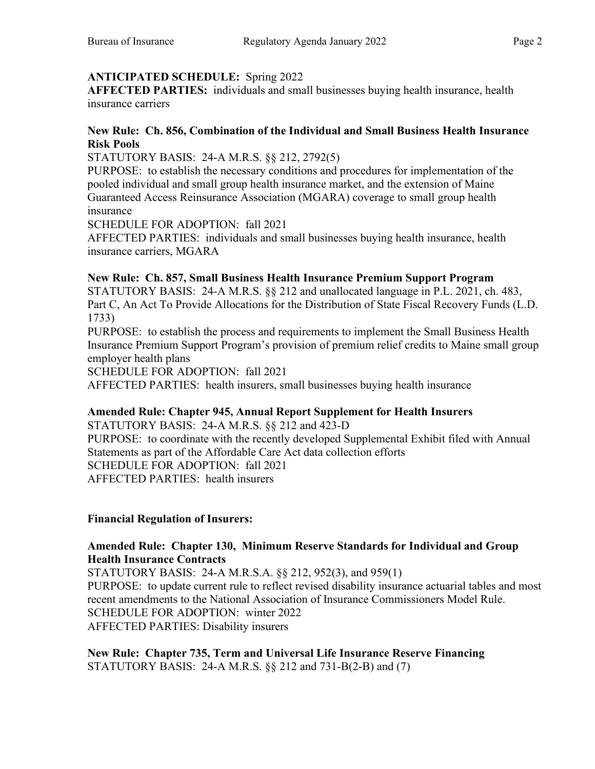# **ANTICIPATED SCHEDULE:** Spring 2022

**AFFECTED PARTIES:** individuals and small businesses buying health insurance, health insurance carriers

## **New Rule: Ch. 856, Combination of the Individual and Small Business Health Insurance Risk Pools**

STATUTORY BASIS: 24-A M.R.S. §§ 212, 2792(5)

 PURPOSE: to establish the necessary conditions and procedures for implementation of the pooled individual and small group health insurance market, and the extension of Maine Guaranteed Access Reinsurance Association (MGARA) coverage to small group health insurance

SCHEDULE FOR ADOPTION: fall 2021

 AFFECTED PARTIES: individuals and small businesses buying health insurance, health insurance carriers, MGARA

# **New Rule: Ch. 857, Small Business Health Insurance Premium Support Program**

 STATUTORY BASIS: 24-A M.R.S. §§ 212 and unallocated language in P.L. 2021, ch. 483, Part C, An Act To Provide Allocations for the Distribution of State Fiscal Recovery Funds (L.D. 1733)

 PURPOSE: to establish the process and requirements to implement the Small Business Health Insurance Premium Support Program's provision of premium relief credits to Maine small group employer health plans

SCHEDULE FOR ADOPTION: fall 2021

AFFECTED PARTIES: health insurers, small businesses buying health insurance

# **Amended Rule: Chapter 945, Annual Report Supplement for Health Insurers**

 STATUTORY BASIS: 24-A M.R.S. §§ 212 and 423-D PURPOSE: to coordinate with the recently developed Supplemental Exhibit filed with Annual Statements as part of the Affordable Care Act data collection efforts SCHEDULE FOR ADOPTION: fall 2021 AFFECTED PARTIES: health insurers

# **Financial Regulation of Insurers:**

### **Amended Rule: Chapter 130, Minimum Reserve Standards for Individual and Group Health Insurance Contracts**

 STATUTORY BASIS: 24-A M.R.S.A. §§ 212, 952(3), and 959(1) PURPOSE: to update current rule to reflect revised disability insurance actuarial tables and most recent amendments to the National Association of Insurance Commissioners Model Rule. SCHEDULE FOR ADOPTION: winter 2022 AFFECTED PARTIES: Disability insurers

 **New Rule: Chapter 735, Term and Universal Life Insurance Reserve Financing**  STATUTORY BASIS: 24-A M.R.S. §§ 212 and 731-B(2-B) and (7)